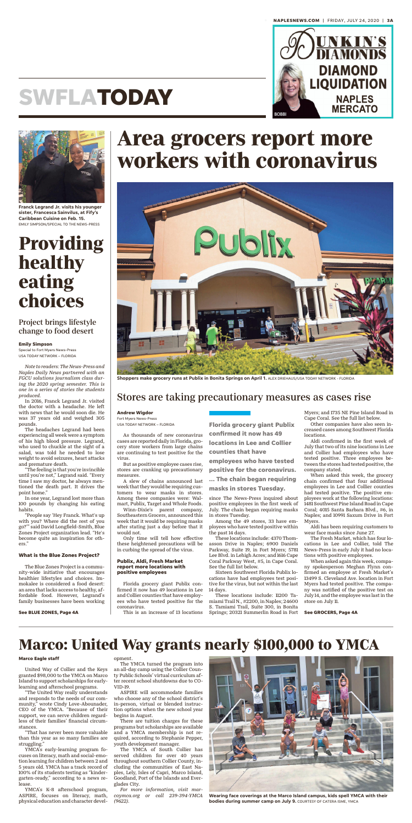

# **SWFLATODAY**

*Note to readers: The News-Press and Naples Daily News partnered with an FGCU solutions journalism class during the 2020 spring semester. This is one in a series of stories the students produced.*

In 2016, Franck Legrand Jr. visited the doctor with a headache. He left with news that he would soon die. He was 37 years old and weighed 305 pounds.

The headaches Legrand had been experiencing all week were a symptom of his high blood pressure. Legrand, who used to chuckle at the sight of a salad, was told he needed to lose weight to avoid seizures, heart attacks and premature death.

"The feeling is that you're invincible until you're not," Legrand said. "Every time I saw my doctor, he always mentioned the death part. It drives the point home."

In one year, Legrand lost more than 100 pounds by changing his eating habits.

"People say 'Hey Franck. What's up with you? Where did the rest of you go?'" said David Longfield-Smith, Blue Zones Project organization lead. "He's become quite an inspiration for others."

#### **What is the Blue Zones Project?**

The Blue Zones Project is a community-wide initiative that encourages healthier lifestyles and choices. Immokalee is considered a food desert: an area that lacks access to healthy, affordable food. However, Legrand's family businesses have been working



**Franck Legrand Jr. visits his younger sister, Francesca Sainvilus, at Fify's Caribbean Cuisine on Feb. 15.** EMILY SIMPSON/SPECIAL TO THE NEWS-PRESS

## **Providing healthy eating choices**

#### Project brings lifestyle change to food desert

**Emily Simpson** Special to Fort Myers News-Press USA TODAY NETWORK – FLORIDA

#### **See BLUE ZONES, Page 4A**

United Way of Collier and the Keys granted \$98,000 to the YMCA on Marco Island to support scholarships for earlylearning and afterschool programs.

"The United Way really understands and responds to the needs of our community," wrote Cindy Love-Abounader, CEO of the YMCA. "Because of their support, we can serve children regardless of their families' financial circumstances.

"That has never been more valuable than this year as so many families are struggling."

YMCA's early-learning program focuses on literacy, math and social-emotion learning for children between 2 and 5 years old. YMCA has a track record of 100% of its students testing as "kindergarten-ready," according to a news release.

YMCA's K-8 afterschool program, ASPIRE, focuses on literacy, math, physical education and character devel-

#### opment.

The YMCA turned the program into an all-day camp using the Collier County Public Schools' virtual curriculum after recent school shutdowns due to CO-VID-19.

Other companies have also seen increased cases among Southwest Florida **locations** 

ASPIRE will accommodate families who choose any of the school district's in-person, virtual or blended instruction options when the new school year begins in August.

There are tuition charges for these programs but scholarships are available and a YMCA membership is not required, according to Stephanie Pepper, youth development manager.

The YMCA of South Collier has served children for over 40 years throughout southern Collier County, including the communities of East Naples, Lely, Isles of Capri, Marco Island, Goodland, Port of the Islands and Everglades City.

*For more information, visit marcoymca.org or call 239-394-YMCA (9622).*

## **Marco: United Way grants nearly \$100,000 to YMCA**

#### **Marco Eagle staff**



**Wearing face coverings at the Marco Island campus, kids spell YMCA with their bodies during summer camp on July 9.** COURTESY OF CATERA ISME, YMCA

As thousands of new coronavirus cases are reported daily in Florida, grocery store workers from large chains are continuing to test positive for the virus.

But as positive employee cases rise,

stores are cranking up precautionary measures.

A slew of chains announced last week that they would be requiring customers to wear masks in stores. Among these companies were: Walmart, Publix, Target and Whole Foods.

Winn-Dixie's parent company, Southeastern Grocers, announced this week that it would be requiring masks after stating just a day before that it would not.

Only time will tell how effective these heightened precautions will be in curbing the spread of the virus.

#### **Publix, Aldi, Fresh Market report more locations with positive employees**

Florida grocery giant Publix confirmed it now has 49 locations in Lee and Collier counties that have employees who have tested positive for the coronavirus.

This is an increase of 13 locations

since The News-Press inquired about positive employees in the first week of July. The chain began requiring masks in stores Tuesday.

Among the 49 stores, 33 have employees who have tested positive within the past 14 days.

These locations include: 4370 Thomasson Drive in Naples; 6900 Daniels Parkway, Suite 19, in Fort Myers; 5781 Lee Blvd. in Lehigh Acres; and 1616 Cape Coral Parkway West, #5, in Cape Coral. See the full list below.

Sixteen Southwest Florida Publix locations have had employees test positive for the virus, but not within the last 14 days.

These locations include: 11200 Tamiami Trail N., #2200, in Naples; 24600 S. Tamiami Trail, Suite 300, in Bonita Springs; 20321 Summerlin Road in Fort

Myers; and 1735 NE Pine Island Road in Cape Coral. See the full list below.

Aldi confirmed in the first week of July that two of its nine locations in Lee and Collier had employees who have tested positive. Three employees between the stores had tested positive, the

company stated.

When asked this week, the grocery chain confirmed that four additional employees in Lee and Collier counties had tested positive. The positive employees work at the following locations: 1481 Southwest Pine Island Road in Cape Coral; 4015 Santa Barbara Blvd., #6, in Naples; and 10991 Saxum Drive in Fort Myers.

Aldi has been requiring customers to wear face masks since June 27.

The Fresh Market, which has four locations in Lee and Collier, told The News-Press in early July it had no locations with positive employees.

When asked again this week, company spokesperson Meghan Flynn confirmed an employee at Fresh Market's 13499 S. Cleveland Ave. location in Fort Myers had tested positive. The company was notified of the positive test on July 14, and the employee was last in the store on July 11.

## **Area grocers report more workers with coronavirus**



**Shoppers make grocery runs at Publix in Bonita Springs on April 1.** ALEX DRIEHAUS/USA TODAY NETWORK - FLORIDA

### Stores are taking precautionary measures as cases rise

#### **Andrew Wigdor**

Fort Myers News-Press USA TODAY NETWORK – FLORIDA

**See GROCERS, Page 4A**

**Florida grocery giant Publix confirmed it now has 49 locations in Lee and Collier counties that have employees who have tested**

**positive for the coronavirus.**

**... The chain began requiring masks in stores Tuesday.**